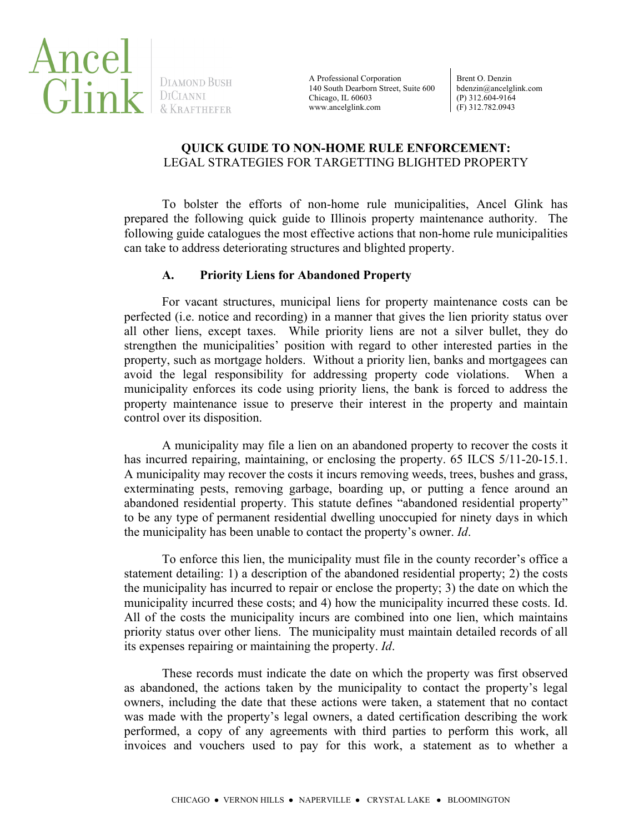

DIAMOND BUSH

A Professional Corporation 140 South Dearborn Street, Suite 600 Chicago, IL 60603 www.ancelglink.com

Brent O. Denzin bdenzin@ancelglink.com (P) 312.604-9164 (F) 312.782.0943

# **QUICK GUIDE TO NON-HOME RULE ENFORCEMENT:** LEGAL STRATEGIES FOR TARGETTING BLIGHTED PROPERTY

To bolster the efforts of non-home rule municipalities, Ancel Glink has prepared the following quick guide to Illinois property maintenance authority. The following guide catalogues the most effective actions that non-home rule municipalities can take to address deteriorating structures and blighted property.

#### **A. Priority Liens for Abandoned Property**

For vacant structures, municipal liens for property maintenance costs can be perfected (i.e. notice and recording) in a manner that gives the lien priority status over all other liens, except taxes. While priority liens are not a silver bullet, they do strengthen the municipalities' position with regard to other interested parties in the property, such as mortgage holders. Without a priority lien, banks and mortgagees can avoid the legal responsibility for addressing property code violations. When a municipality enforces its code using priority liens, the bank is forced to address the property maintenance issue to preserve their interest in the property and maintain control over its disposition.

A municipality may file a lien on an abandoned property to recover the costs it has incurred repairing, maintaining, or enclosing the property. 65 ILCS 5/11-20-15.1. A municipality may recover the costs it incurs removing weeds, trees, bushes and grass, exterminating pests, removing garbage, boarding up, or putting a fence around an abandoned residential property. This statute defines "abandoned residential property" to be any type of permanent residential dwelling unoccupied for ninety days in which the municipality has been unable to contact the property's owner. *Id*.

To enforce this lien, the municipality must file in the county recorder's office a statement detailing: 1) a description of the abandoned residential property; 2) the costs the municipality has incurred to repair or enclose the property; 3) the date on which the municipality incurred these costs; and 4) how the municipality incurred these costs. Id. All of the costs the municipality incurs are combined into one lien, which maintains priority status over other liens. The municipality must maintain detailed records of all its expenses repairing or maintaining the property. *Id*.

These records must indicate the date on which the property was first observed as abandoned, the actions taken by the municipality to contact the property's legal owners, including the date that these actions were taken, a statement that no contact was made with the property's legal owners, a dated certification describing the work performed, a copy of any agreements with third parties to perform this work, all invoices and vouchers used to pay for this work, a statement as to whether a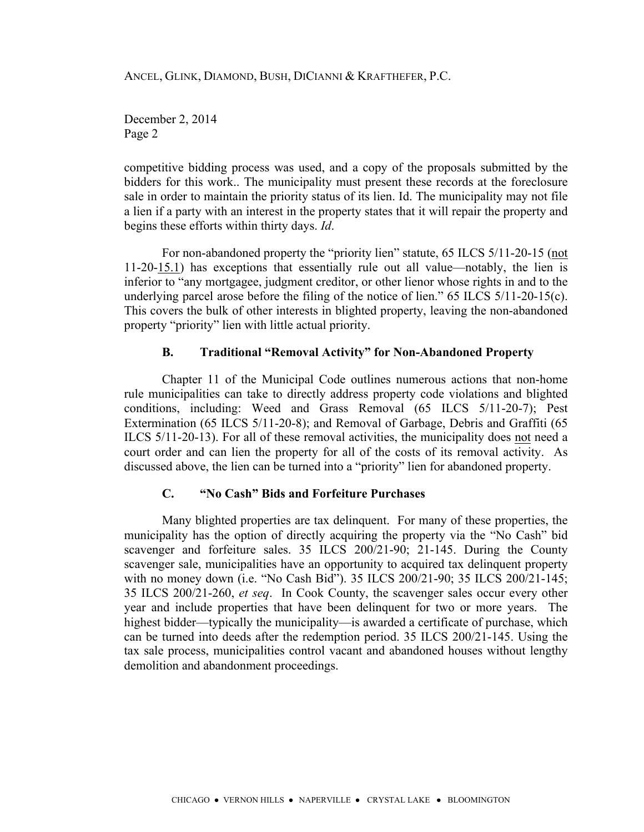December 2, 2014 Page 2

competitive bidding process was used, and a copy of the proposals submitted by the bidders for this work.. The municipality must present these records at the foreclosure sale in order to maintain the priority status of its lien. Id. The municipality may not file a lien if a party with an interest in the property states that it will repair the property and begins these efforts within thirty days. *Id*.

For non-abandoned property the "priority lien" statute, 65 ILCS 5/11-20-15 (not 11-20-15.1) has exceptions that essentially rule out all value—notably, the lien is inferior to "any mortgagee, judgment creditor, or other lienor whose rights in and to the underlying parcel arose before the filing of the notice of lien." 65 ILCS 5/11-20-15(c). This covers the bulk of other interests in blighted property, leaving the non-abandoned property "priority" lien with little actual priority.

#### **B. Traditional "Removal Activity" for Non-Abandoned Property**

Chapter 11 of the Municipal Code outlines numerous actions that non-home rule municipalities can take to directly address property code violations and blighted conditions, including: Weed and Grass Removal (65 ILCS 5/11-20-7); Pest Extermination (65 ILCS 5/11-20-8); and Removal of Garbage, Debris and Graffiti (65 ILCS 5/11-20-13). For all of these removal activities, the municipality does not need a court order and can lien the property for all of the costs of its removal activity. As discussed above, the lien can be turned into a "priority" lien for abandoned property.

# **C. "No Cash" Bids and Forfeiture Purchases**

Many blighted properties are tax delinquent. For many of these properties, the municipality has the option of directly acquiring the property via the "No Cash" bid scavenger and forfeiture sales. 35 ILCS 200/21-90; 21-145. During the County scavenger sale, municipalities have an opportunity to acquired tax delinquent property with no money down (i.e. "No Cash Bid"). 35 ILCS 200/21-90; 35 ILCS 200/21-145; 35 ILCS 200/21-260, *et seq*. In Cook County, the scavenger sales occur every other year and include properties that have been delinquent for two or more years. The highest bidder—typically the municipality—is awarded a certificate of purchase, which can be turned into deeds after the redemption period. 35 ILCS 200/21-145. Using the tax sale process, municipalities control vacant and abandoned houses without lengthy demolition and abandonment proceedings.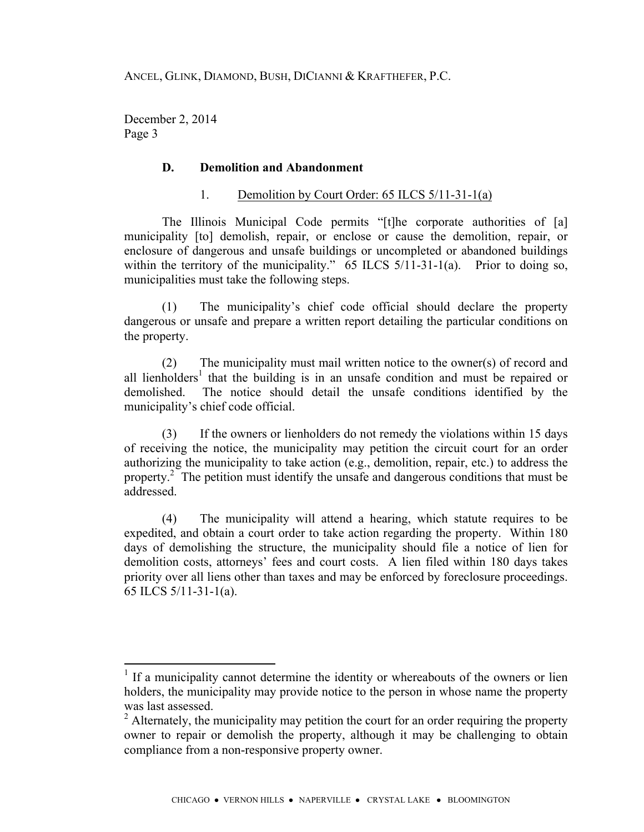December 2, 2014 Page 3

### **D. Demolition and Abandonment**

### 1. Demolition by Court Order: 65 ILCS 5/11-31-1(a)

The Illinois Municipal Code permits "[t]he corporate authorities of [a] municipality [to] demolish, repair, or enclose or cause the demolition, repair, or enclosure of dangerous and unsafe buildings or uncompleted or abandoned buildings within the territory of the municipality." 65 ILCS 5/11-31-1(a). Prior to doing so, municipalities must take the following steps.

(1) The municipality's chief code official should declare the property dangerous or unsafe and prepare a written report detailing the particular conditions on the property.

(2) The municipality must mail written notice to the owner(s) of record and all lienholders<sup>1</sup> that the building is in an unsafe condition and must be repaired or demolished. The notice should detail the unsafe conditions identified by the municipality's chief code official.

(3) If the owners or lienholders do not remedy the violations within 15 days of receiving the notice, the municipality may petition the circuit court for an order authorizing the municipality to take action (e.g., demolition, repair, etc.) to address the property.<sup>2</sup> The petition must identify the unsafe and dangerous conditions that must be addressed.

(4) The municipality will attend a hearing, which statute requires to be expedited, and obtain a court order to take action regarding the property. Within 180 days of demolishing the structure, the municipality should file a notice of lien for demolition costs, attorneys' fees and court costs. A lien filed within 180 days takes priority over all liens other than taxes and may be enforced by foreclosure proceedings. 65 ILCS 5/11-31-1(a).

If a municipality cannot determine the identity or whereabouts of the owners or lien holders, the municipality may provide notice to the person in whose name the property was last assessed.

 $2$  Alternately, the municipality may petition the court for an order requiring the property owner to repair or demolish the property, although it may be challenging to obtain compliance from a non-responsive property owner.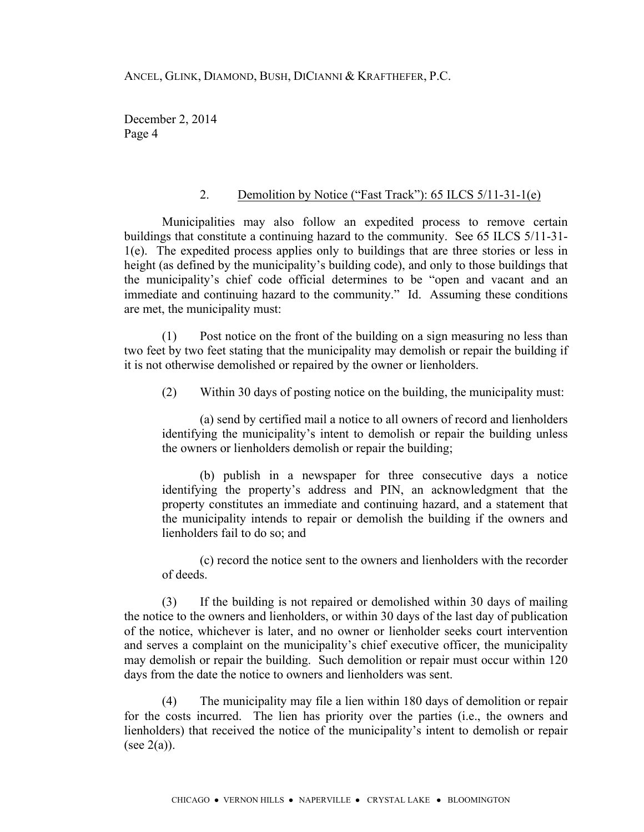December 2, 2014 Page 4

# 2. Demolition by Notice ("Fast Track"): 65 ILCS 5/11-31-1(e)

Municipalities may also follow an expedited process to remove certain buildings that constitute a continuing hazard to the community. See 65 ILCS 5/11-31- 1(e). The expedited process applies only to buildings that are three stories or less in height (as defined by the municipality's building code), and only to those buildings that the municipality's chief code official determines to be "open and vacant and an immediate and continuing hazard to the community." Id. Assuming these conditions are met, the municipality must:

(1) Post notice on the front of the building on a sign measuring no less than two feet by two feet stating that the municipality may demolish or repair the building if it is not otherwise demolished or repaired by the owner or lienholders.

(2) Within 30 days of posting notice on the building, the municipality must:

(a) send by certified mail a notice to all owners of record and lienholders identifying the municipality's intent to demolish or repair the building unless the owners or lienholders demolish or repair the building;

(b) publish in a newspaper for three consecutive days a notice identifying the property's address and PIN, an acknowledgment that the property constitutes an immediate and continuing hazard, and a statement that the municipality intends to repair or demolish the building if the owners and lienholders fail to do so; and

(c) record the notice sent to the owners and lienholders with the recorder of deeds.

(3) If the building is not repaired or demolished within 30 days of mailing the notice to the owners and lienholders, or within 30 days of the last day of publication of the notice, whichever is later, and no owner or lienholder seeks court intervention and serves a complaint on the municipality's chief executive officer, the municipality may demolish or repair the building. Such demolition or repair must occur within 120 days from the date the notice to owners and lienholders was sent.

(4) The municipality may file a lien within 180 days of demolition or repair for the costs incurred. The lien has priority over the parties (i.e., the owners and lienholders) that received the notice of the municipality's intent to demolish or repair (see  $2(a)$ ).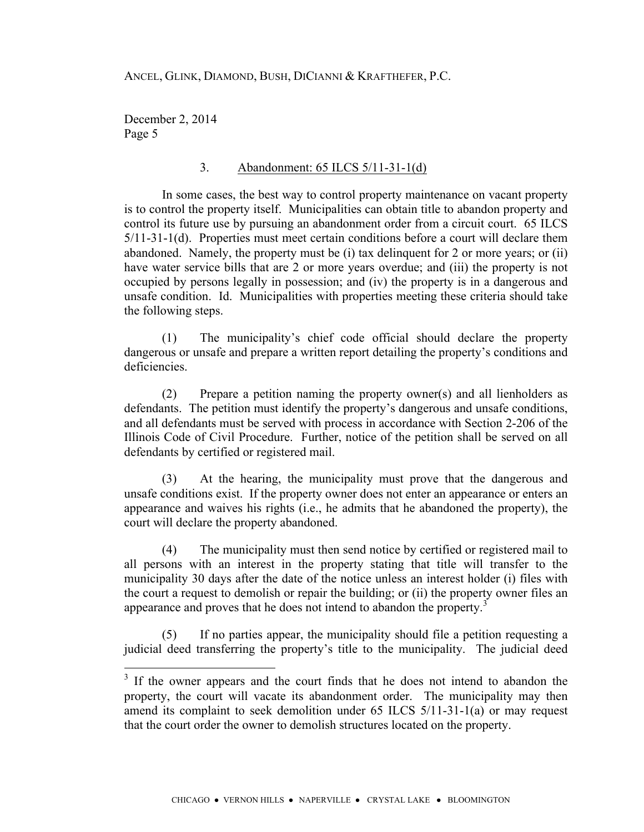December 2, 2014 Page 5

# 3. Abandonment: 65 ILCS 5/11-31-1(d)

In some cases, the best way to control property maintenance on vacant property is to control the property itself. Municipalities can obtain title to abandon property and control its future use by pursuing an abandonment order from a circuit court. 65 ILCS 5/11-31-1(d). Properties must meet certain conditions before a court will declare them abandoned. Namely, the property must be (i) tax delinquent for 2 or more years; or (ii) have water service bills that are 2 or more years overdue; and (iii) the property is not occupied by persons legally in possession; and (iv) the property is in a dangerous and unsafe condition. Id. Municipalities with properties meeting these criteria should take the following steps.

(1) The municipality's chief code official should declare the property dangerous or unsafe and prepare a written report detailing the property's conditions and deficiencies.

(2) Prepare a petition naming the property owner(s) and all lienholders as defendants. The petition must identify the property's dangerous and unsafe conditions, and all defendants must be served with process in accordance with Section 2-206 of the Illinois Code of Civil Procedure. Further, notice of the petition shall be served on all defendants by certified or registered mail.

(3) At the hearing, the municipality must prove that the dangerous and unsafe conditions exist. If the property owner does not enter an appearance or enters an appearance and waives his rights (i.e., he admits that he abandoned the property), the court will declare the property abandoned.

(4) The municipality must then send notice by certified or registered mail to all persons with an interest in the property stating that title will transfer to the municipality 30 days after the date of the notice unless an interest holder (i) files with the court a request to demolish or repair the building; or (ii) the property owner files an appearance and proves that he does not intend to abandon the property.<sup>3</sup>

(5) If no parties appear, the municipality should file a petition requesting a judicial deed transferring the property's title to the municipality. The judicial deed

 $3<sup>3</sup>$  If the owner appears and the court finds that he does not intend to abandon the property, the court will vacate its abandonment order. The municipality may then amend its complaint to seek demolition under 65 ILCS 5/11-31-1(a) or may request that the court order the owner to demolish structures located on the property.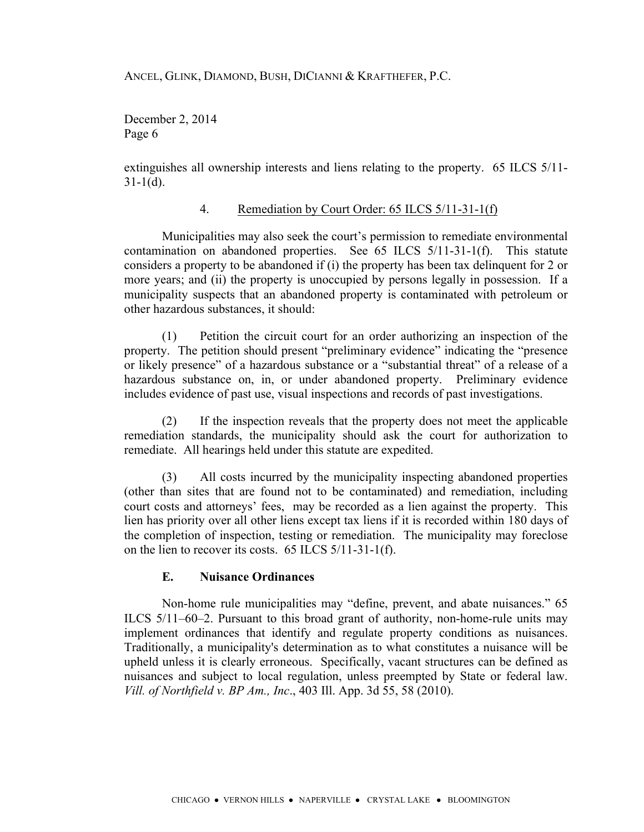December 2, 2014 Page 6

extinguishes all ownership interests and liens relating to the property. 65 ILCS 5/11-  $31-1(d)$ .

# 4. Remediation by Court Order: 65 ILCS 5/11-31-1(f)

Municipalities may also seek the court's permission to remediate environmental contamination on abandoned properties. See 65 ILCS 5/11-31-1(f). This statute considers a property to be abandoned if (i) the property has been tax delinquent for 2 or more years; and (ii) the property is unoccupied by persons legally in possession. If a municipality suspects that an abandoned property is contaminated with petroleum or other hazardous substances, it should:

(1) Petition the circuit court for an order authorizing an inspection of the property. The petition should present "preliminary evidence" indicating the "presence or likely presence" of a hazardous substance or a "substantial threat" of a release of a hazardous substance on, in, or under abandoned property. Preliminary evidence includes evidence of past use, visual inspections and records of past investigations.

(2) If the inspection reveals that the property does not meet the applicable remediation standards, the municipality should ask the court for authorization to remediate. All hearings held under this statute are expedited.

(3) All costs incurred by the municipality inspecting abandoned properties (other than sites that are found not to be contaminated) and remediation, including court costs and attorneys' fees, may be recorded as a lien against the property. This lien has priority over all other liens except tax liens if it is recorded within 180 days of the completion of inspection, testing or remediation. The municipality may foreclose on the lien to recover its costs. 65 ILCS 5/11-31-1(f).

# **E. Nuisance Ordinances**

Non-home rule municipalities may "define, prevent, and abate nuisances." 65 ILCS 5/11–60–2. Pursuant to this broad grant of authority, non-home-rule units may implement ordinances that identify and regulate property conditions as nuisances. Traditionally, a municipality's determination as to what constitutes a nuisance will be upheld unless it is clearly erroneous. Specifically, vacant structures can be defined as nuisances and subject to local regulation, unless preempted by State or federal law. *Vill. of Northfield v. BP Am., Inc*., 403 Ill. App. 3d 55, 58 (2010).